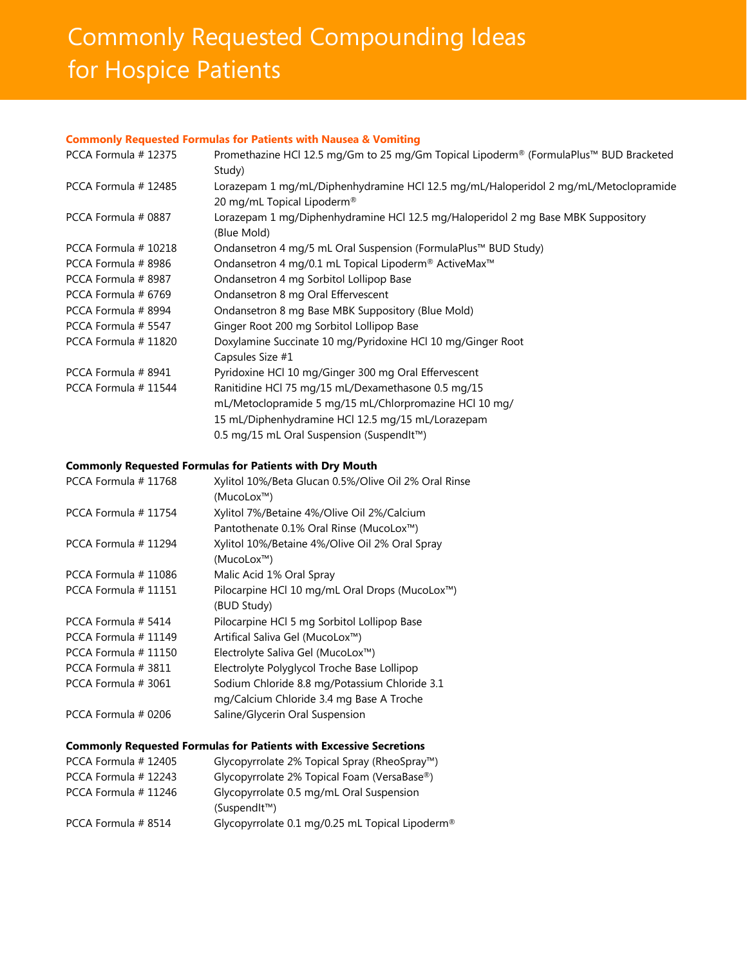# **Commonly Requested Compounding Ideas** for Hospice Patients

## **Commonly Requested Formulas for Patients with Nausea & Vomiting**

| PCCA Formula #12375 | Promethazine HCl 12.5 mg/Gm to 25 mg/Gm Topical Lipoderm® (FormulaPlus™ BUD Bracketed<br>Study)                               |
|---------------------|-------------------------------------------------------------------------------------------------------------------------------|
| PCCA Formula #12485 | Lorazepam 1 mg/mL/Diphenhydramine HCl 12.5 mg/mL/Haloperidol 2 mg/mL/Metoclopramide<br>20 mg/mL Topical Lipoderm <sup>®</sup> |
| PCCA Formula # 0887 | Lorazepam 1 mg/Diphenhydramine HCl 12.5 mg/Haloperidol 2 mg Base MBK Suppository<br>(Blue Mold)                               |
| PCCA Formula #10218 | Ondansetron 4 mg/5 mL Oral Suspension (FormulaPlus™ BUD Study)                                                                |
| PCCA Formula #8986  | Ondansetron 4 mg/0.1 mL Topical Lipoderm® ActiveMax <sup>™</sup>                                                              |
| PCCA Formula #8987  | Ondansetron 4 mg Sorbitol Lollipop Base                                                                                       |
| PCCA Formula # 6769 | Ondansetron 8 mg Oral Effervescent                                                                                            |
| PCCA Formula #8994  | Ondansetron 8 mg Base MBK Suppository (Blue Mold)                                                                             |
| PCCA Formula # 5547 | Ginger Root 200 mg Sorbitol Lollipop Base                                                                                     |
| PCCA Formula #11820 | Doxylamine Succinate 10 mg/Pyridoxine HCl 10 mg/Ginger Root<br>Capsules Size #1                                               |
| PCCA Formula #8941  | Pyridoxine HCl 10 mg/Ginger 300 mg Oral Effervescent                                                                          |
| PCCA Formula #11544 | Ranitidine HCl 75 mg/15 mL/Dexamethasone 0.5 mg/15                                                                            |
|                     | mL/Metoclopramide 5 mg/15 mL/Chlorpromazine HCl 10 mg/                                                                        |
|                     | 15 mL/Diphenhydramine HCl 12.5 mg/15 mL/Lorazepam                                                                             |
|                     | 0.5 mg/15 mL Oral Suspension (SuspendIt™)                                                                                     |

#### **Commonly Requested Formulas for Patients with Dry Mouth**

| PCCA Formula #11768 | Xylitol 10%/Beta Glucan 0.5%/Olive Oil 2% Oral Rinse |
|---------------------|------------------------------------------------------|
|                     | (MucoLox™)                                           |
| PCCA Formula #11754 | Xylitol 7%/Betaine 4%/Olive Oil 2%/Calcium           |
|                     | Pantothenate 0.1% Oral Rinse (MucoLox™)              |
| PCCA Formula #11294 | Xylitol 10%/Betaine 4%/Olive Oil 2% Oral Spray       |
|                     | (MucoLox™)                                           |
| PCCA Formula #11086 | Malic Acid 1% Oral Spray                             |
| PCCA Formula #11151 | Pilocarpine HCl 10 mg/mL Oral Drops (MucoLox™)       |
|                     | (BUD Study)                                          |
| PCCA Formula #5414  | Pilocarpine HCl 5 mg Sorbitol Lollipop Base          |
| PCCA Formula #11149 | Artifical Saliva Gel (MucoLox™)                      |
| PCCA Formula #11150 | Electrolyte Saliva Gel (MucoLox™)                    |
| PCCA Formula #3811  | Electrolyte Polyglycol Troche Base Lollipop          |
| PCCA Formula # 3061 | Sodium Chloride 8.8 mg/Potassium Chloride 3.1        |
|                     | mg/Calcium Chloride 3.4 mg Base A Troche             |
| PCCA Formula # 0206 | Saline/Glycerin Oral Suspension                      |

# **Commonly Requested Formulas for Patients with Excessive Secretions**

| PCCA Formula #12405 | Glycopyrrolate $2\%$ Topical Spray (RheoSpray™)                        |
|---------------------|------------------------------------------------------------------------|
| PCCA Formula #12243 | Glycopyrrolate 2% Topical Foam (VersaBase®)                            |
| PCCA Formula #11246 | Glycopyrrolate 0.5 mg/mL Oral Suspension<br>(Suspendlt <sup>TM</sup> ) |
| PCCA Formula #8514  | Glycopyrrolate 0.1 mg/0.25 mL Topical Lipoderm®                        |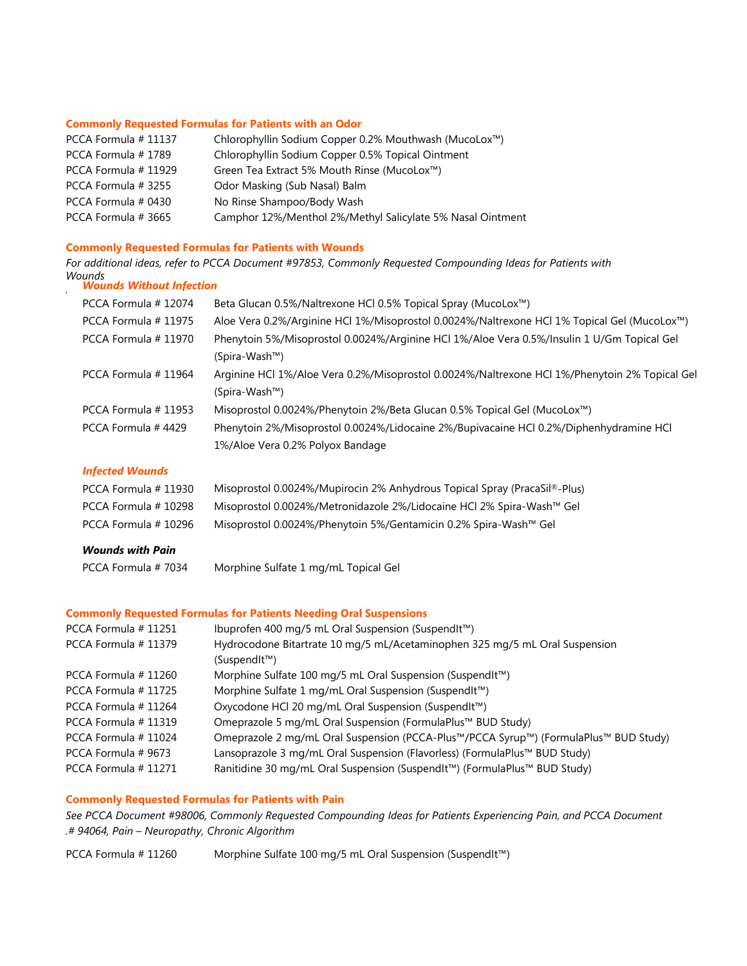#### **Commonly Requested Formulas for Patients with an Odor**

| PCCA Formula #11137 | Chlorophyllin Sodium Copper 0.2% Mouthwash (MucoLox™)      |
|---------------------|------------------------------------------------------------|
| PCCA Formula #1789  | Chlorophyllin Sodium Copper 0.5% Topical Ointment          |
| PCCA Formula #11929 | Green Tea Extract 5% Mouth Rinse (MucoLox™)                |
| PCCA Formula # 3255 | Odor Masking (Sub Nasal) Balm                              |
| PCCA Formula # 0430 | No Rinse Shampoo/Body Wash                                 |
| PCCA Formula # 3665 | Camphor 12%/Menthol 2%/Methyl Salicylate 5% Nasal Ointment |

## **Commonly Requested Formulas for Patients with Wounds**

*For additional ideas, refer to PCCA Document #97853, Commonly Requested Compounding Ideas for Patients with Wounds Wounds Without Infection* 

| PCCA Formula #12074    | Beta Glucan 0.5%/Naltrexone HCl 0.5% Topical Spray (MucoLox™)                                                              |
|------------------------|----------------------------------------------------------------------------------------------------------------------------|
| PCCA Formula # 11975   | Aloe Vera 0.2%/Arginine HCl 1%/Misoprostol 0.0024%/Naltrexone HCl 1% Topical Gel (MucoLox™)                                |
| PCCA Formula # 11970   | Phenytoin 5%/Misoprostol 0.0024%/Arginine HCl 1%/Aloe Vera 0.5%/Insulin 1 U/Gm Topical Gel<br>(Spira-Wash™)                |
| PCCA Formula #11964    | Arginine HCl 1%/Aloe Vera 0.2%/Misoprostol 0.0024%/Naltrexone HCl 1%/Phenytoin 2% Topical Gel<br>(Spira-Wash™)             |
| PCCA Formula # 11953   | Misoprostol 0.0024%/Phenytoin 2%/Beta Glucan 0.5% Topical Gel (MucoLox <sup>™</sup> )                                      |
| PCCA Formula #4429     | Phenytoin 2%/Misoprostol 0.0024%/Lidocaine 2%/Bupivacaine HCl 0.2%/Diphenhydramine HCl<br>1%/Aloe Vera 0.2% Polyox Bandage |
| <b>Infected Wounds</b> |                                                                                                                            |
| PCCA Formula #11930    | Misoprostol 0.0024%/Mupirocin 2% Anhydrous Topical Spray (PracaSil®-Plus)                                                  |
| PCCA Formula #10298    | Misoprostol 0.0024%/Metronidazole 2%/Lidocaine HCl 2% Spira-Wash™ Gel                                                      |
| PCCA Formula #10296    | Misoprostol 0.0024%/Phenytoin 5%/Gentamicin 0.2% Spira-Wash™ Gel                                                           |

# *Wounds with Pain*

#### **Commonly Requested Formulas for Patients Needing Oral Suspensions**

| PCCA Formula #11251  | Ibuprofen 400 mg/5 mL Oral Suspension (SuspendIt™)                                   |
|----------------------|--------------------------------------------------------------------------------------|
| PCCA Formula #11379  | Hydrocodone Bitartrate 10 mg/5 mL/Acetaminophen 325 mg/5 mL Oral Suspension          |
|                      | (SuspendIt™)                                                                         |
| PCCA Formula # 11260 | Morphine Sulfate 100 mg/5 mL Oral Suspension (SuspendIt™)                            |
| PCCA Formula #11725  | Morphine Sulfate 1 mg/mL Oral Suspension (SuspendIt™)                                |
| PCCA Formula #11264  | Oxycodone HCl 20 mg/mL Oral Suspension (SuspendIt™)                                  |
| PCCA Formula #11319  | Omeprazole 5 mg/mL Oral Suspension (FormulaPlus™ BUD Study)                          |
| PCCA Formula #11024  | Omeprazole 2 mg/mL Oral Suspension (PCCA-Plus™/PCCA Syrup™) (FormulaPlus™ BUD Study) |
| PCCA Formula # 9673  | Lansoprazole 3 mg/mL Oral Suspension (Flavorless) (FormulaPlus™ BUD Study)           |
| PCCA Formula #11271  | Ranitidine 30 mg/mL Oral Suspension (SuspendIt™) (FormulaPlus™ BUD Study)            |

## **Commonly Requested Formulas for Patients with Pain**

*See PCCA Document #98006, Commonly Requested Compounding Ideas for Patients Experiencing Pain, and PCCA Document .# 94064, Pain – Neuropathy, Chronic Algorithm*

PCCA Formula # 11260 Morphine Sulfate 100 mg/5 mL Oral Suspension (SuspendIt™)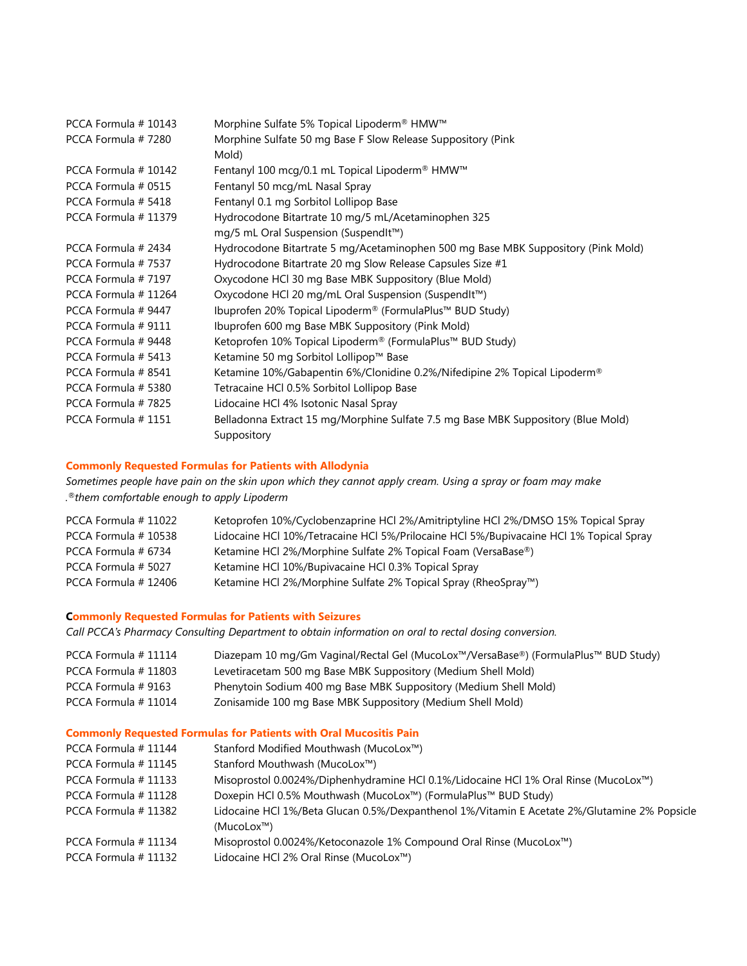| PCCA Formula #10143 | Morphine Sulfate 5% Topical Lipoderm® HMW™                                        |
|---------------------|-----------------------------------------------------------------------------------|
| PCCA Formula #7280  | Morphine Sulfate 50 mg Base F Slow Release Suppository (Pink                      |
|                     | Mold)                                                                             |
| PCCA Formula #10142 | Fentanyl 100 mcg/0.1 mL Topical Lipoderm® HMW™                                    |
| PCCA Formula # 0515 | Fentanyl 50 mcg/mL Nasal Spray                                                    |
| PCCA Formula # 5418 | Fentanyl 0.1 mg Sorbitol Lollipop Base                                            |
| PCCA Formula #11379 | Hydrocodone Bitartrate 10 mg/5 mL/Acetaminophen 325                               |
|                     | mg/5 mL Oral Suspension (SuspendIt™)                                              |
| PCCA Formula # 2434 | Hydrocodone Bitartrate 5 mg/Acetaminophen 500 mg Base MBK Suppository (Pink Mold) |
| PCCA Formula #7537  | Hydrocodone Bitartrate 20 mg Slow Release Capsules Size #1                        |
| PCCA Formula #7197  | Oxycodone HCl 30 mg Base MBK Suppository (Blue Mold)                              |
| PCCA Formula #11264 | Oxycodone HCl 20 mg/mL Oral Suspension (SuspendIt™)                               |
| PCCA Formula #9447  | Ibuprofen 20% Topical Lipoderm® (FormulaPlus™ BUD Study)                          |
| PCCA Formula #9111  | Ibuprofen 600 mg Base MBK Suppository (Pink Mold)                                 |
| PCCA Formula #9448  | Ketoprofen 10% Topical Lipoderm® (FormulaPlus™ BUD Study)                         |
| PCCA Formula # 5413 | Ketamine 50 mg Sorbitol Lollipop™ Base                                            |
| PCCA Formula #8541  | Ketamine 10%/Gabapentin 6%/Clonidine 0.2%/Nifedipine 2% Topical Lipoderm®         |
| PCCA Formula # 5380 | Tetracaine HCI 0.5% Sorbitol Lollipop Base                                        |
| PCCA Formula #7825  | Lidocaine HCl 4% Isotonic Nasal Spray                                             |
| PCCA Formula #1151  | Belladonna Extract 15 mg/Morphine Sulfate 7.5 mg Base MBK Suppository (Blue Mold) |
|                     | Suppository                                                                       |

## **Commonly Requested Formulas for Patients with Allodynia**

*Sometimes people have pain on the skin upon which they cannot apply cream. Using a spray or foam may make .®them comfortable enough to apply Lipoderm*

| PCCA Formula #11022 | Ketoprofen 10%/Cyclobenzaprine HCl 2%/Amitriptyline HCl 2%/DMSO 15% Topical Spray      |
|---------------------|----------------------------------------------------------------------------------------|
| PCCA Formula #10538 | Lidocaine HCl 10%/Tetracaine HCl 5%/Prilocaine HCl 5%/Bupivacaine HCl 1% Topical Spray |
| PCCA Formula # 6734 | Ketamine HCl 2%/Morphine Sulfate 2% Topical Foam (VersaBase®)                          |
| PCCA Formula # 5027 | Ketamine HCl 10%/Bupivacaine HCl 0.3% Topical Spray                                    |
| PCCA Formula #12406 | Ketamine HCl 2%/Morphine Sulfate 2% Topical Spray (RheoSpray™)                         |

## **Commonly Requested Formulas for Patients with Seizures**

*Call PCCA's Pharmacy Consulting Department to obtain information on oral to rectal dosing conversion.*

| PCCA Formula #11114 | Diazepam 10 mg/Gm Vaginal/Rectal Gel (MucoLox™/VersaBase®) (FormulaPlus™ BUD Study) |
|---------------------|-------------------------------------------------------------------------------------|
| PCCA Formula #11803 | Levetiracetam 500 mg Base MBK Suppository (Medium Shell Mold)                       |
| PCCA Formula # 9163 | Phenytoin Sodium 400 mg Base MBK Suppository (Medium Shell Mold)                    |
| PCCA Formula #11014 | Zonisamide 100 mg Base MBK Suppository (Medium Shell Mold)                          |

# **Commonly Requested Formulas for Patients with Oral Mucositis Pain**

| PCCA Formula #11144  | Stanford Modified Mouthwash (MucoLox™)                                                       |
|----------------------|----------------------------------------------------------------------------------------------|
| PCCA Formula #11145  | Stanford Mouthwash (MucoLox™)                                                                |
| PCCA Formula # 11133 | Misoprostol 0.0024%/Diphenhydramine HCl 0.1%/Lidocaine HCl 1% Oral Rinse (MucoLox™)          |
| PCCA Formula # 11128 | Doxepin HCl 0.5% Mouthwash (MucoLox™) (FormulaPlus™ BUD Study)                               |
| PCCA Formula #11382  | Lidocaine HCl 1%/Beta Glucan 0.5%/Dexpanthenol 1%/Vitamin E Acetate 2%/Glutamine 2% Popsicle |
|                      | (Mucolox <sup>TM</sup> )                                                                     |
| PCCA Formula # 11134 | Misoprostol 0.0024%/Ketoconazole 1% Compound Oral Rinse (MucoLox™)                           |
| PCCA Formula # 11132 | Lidocaine HCl 2% Oral Rinse (MucoLox™)                                                       |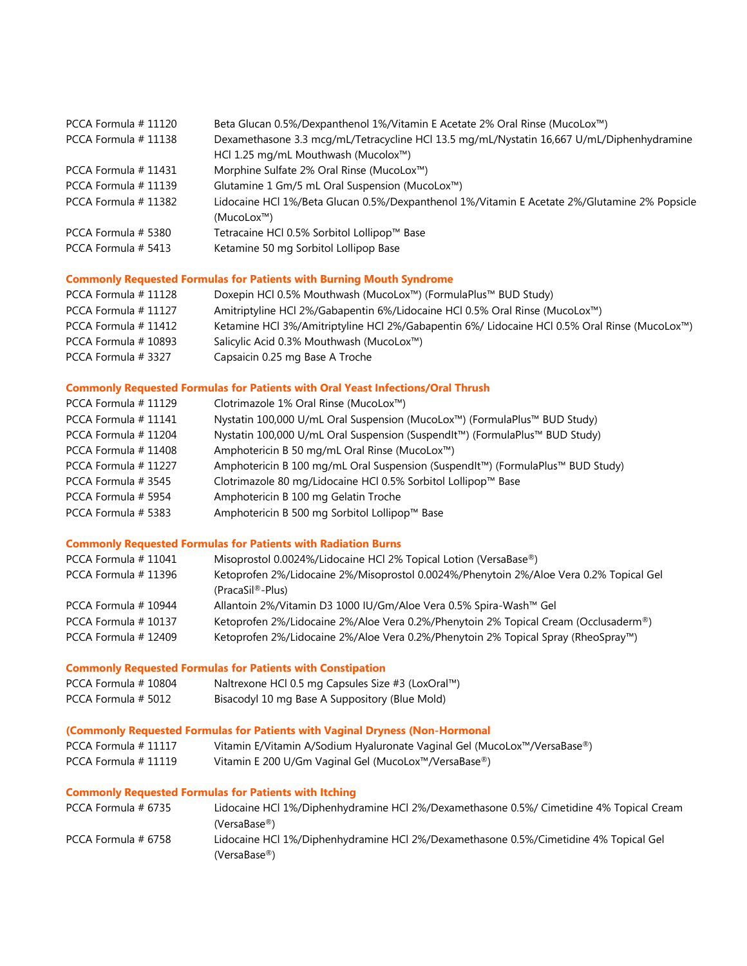| PCCA Formula #11120  | Beta Glucan 0.5%/Dexpanthenol 1%/Vitamin E Acetate 2% Oral Rinse (MucoLox <sup>™</sup> )     |
|----------------------|----------------------------------------------------------------------------------------------|
| PCCA Formula #11138  | Dexamethasone 3.3 mcg/mL/Tetracycline HCl 13.5 mg/mL/Nystatin 16,667 U/mL/Diphenhydramine    |
|                      | HCl 1.25 mg/mL Mouthwash (Mucolox™)                                                          |
| PCCA Formula #11431  | Morphine Sulfate 2% Oral Rinse (MucoLox™)                                                    |
| PCCA Formula #11139  | Glutamine 1 Gm/5 mL Oral Suspension (MucoLox™)                                               |
| PCCA Formula # 11382 | Lidocaine HCl 1%/Beta Glucan 0.5%/Dexpanthenol 1%/Vitamin E Acetate 2%/Glutamine 2% Popsicle |
|                      | (Mucolox <sup>TM</sup> )                                                                     |
| PCCA Formula # 5380  | Tetracaine HCl 0.5% Sorbitol Lollipop™ Base                                                  |
| PCCA Formula # 5413  | Ketamine 50 mg Sorbitol Lollipop Base                                                        |
|                      |                                                                                              |

# **Commonly Requested Formulas for Patients with Burning Mouth Syndrome**

| PCCA Formula # 11128 | Doxepin HCl 0.5% Mouthwash (MucoLox™) (FormulaPlus™ BUD Study)                               |
|----------------------|----------------------------------------------------------------------------------------------|
| PCCA Formula # 11127 | Amitriptyline HCl 2%/Gabapentin 6%/Lidocaine HCl 0.5% Oral Rinse (MucoLox™)                  |
| PCCA Formula #11412  | Ketamine HCl 3%/Amitriptyline HCl 2%/Gabapentin 6%/ Lidocaine HCl 0.5% Oral Rinse (MucoLox™) |
| PCCA Formula #10893  | Salicylic Acid 0.3% Mouthwash (MucoLox™)                                                     |
| PCCA Formula #3327   | Capsaicin 0.25 mg Base A Troche                                                              |

# **Commonly Requested Formulas for Patients with Oral Yeast Infections/Oral Thrush**

| PCCA Formula # 11129 | Clotrimazole 1% Oral Rinse (MucoLox™)                                          |
|----------------------|--------------------------------------------------------------------------------|
| PCCA Formula #11141  | Nystatin 100,000 U/mL Oral Suspension (MucoLox™) (FormulaPlus™ BUD Study)      |
| PCCA Formula #11204  | Nystatin 100,000 U/mL Oral Suspension (SuspendIt™) (FormulaPlus™ BUD Study)    |
| PCCA Formula #11408  | Amphotericin B 50 mg/mL Oral Rinse (MucoLox™)                                  |
| PCCA Formula #11227  | Amphotericin B 100 mg/mL Oral Suspension (SuspendIt™) (FormulaPlus™ BUD Study) |
| PCCA Formula #3545   | Clotrimazole 80 mg/Lidocaine HCl 0.5% Sorbitol Lollipop™ Base                  |
| PCCA Formula # 5954  | Amphotericin B 100 mg Gelatin Troche                                           |
| PCCA Formula # 5383  | Amphotericin B 500 mg Sorbitol Lollipop™ Base                                  |

# **Commonly Requested Formulas for Patients with Radiation Burns**

| PCCA Formula #11041 | Misoprostol 0.0024%/Lidocaine HCl 2% Topical Lotion (VersaBase®)                       |
|---------------------|----------------------------------------------------------------------------------------|
| PCCA Formula #11396 | Ketoprofen 2%/Lidocaine 2%/Misoprostol 0.0024%/Phenytoin 2%/Aloe Vera 0.2% Topical Gel |
|                     | (PracaSil <sup>®</sup> -Plus)                                                          |
| PCCA Formula #10944 | Allantoin 2%/Vitamin D3 1000 IU/Gm/Aloe Vera 0.5% Spira-Wash™ Gel                      |
| PCCA Formula #10137 | Ketoprofen 2%/Lidocaine 2%/Aloe Vera 0.2%/Phenytoin 2% Topical Cream (Occlusaderm®)    |
| PCCA Formula #12409 | Ketoprofen 2%/Lidocaine 2%/Aloe Vera 0.2%/Phenytoin 2% Topical Spray (RheoSpray™)      |

# **Commonly Requested Formulas for Patients with Constipation**

| PCCA Formula #10804 | Naltrexone HCl 0.5 mg Capsules Size #3 (LoxOral™) |
|---------------------|---------------------------------------------------|
| PCCA Formula # 5012 | Bisacodyl 10 mg Base A Suppository (Blue Mold)    |

## **(Commonly Requested Formulas for Patients with Vaginal Dryness (Non-Hormonal**

| PCCA Formula #11117  | Vitamin E/Vitamin A/Sodium Hyaluronate Vaginal Gel (MucoLox™/VersaBase®) |
|----------------------|--------------------------------------------------------------------------|
| PCCA Formula # 11119 | Vitamin E 200 U/Gm Vaginal Gel (MucoLox™/VersaBase®)                     |

## **Commonly Requested Formulas for Patients with Itching**

| PCCA Formula # 6735 | Lidocaine HCl 1%/Diphenhydramine HCl 2%/Dexamethasone 0.5%/ Cimetidine 4% Topical Cream |
|---------------------|-----------------------------------------------------------------------------------------|
|                     | (VersaBase <sup>®</sup> )                                                               |
| PCCA Formula # 6758 | Lidocaine HCl 1%/Diphenhydramine HCl 2%/Dexamethasone 0.5%/Cimetidine 4% Topical Gel    |
|                     | $(VersaBase^{\circledR})$                                                               |